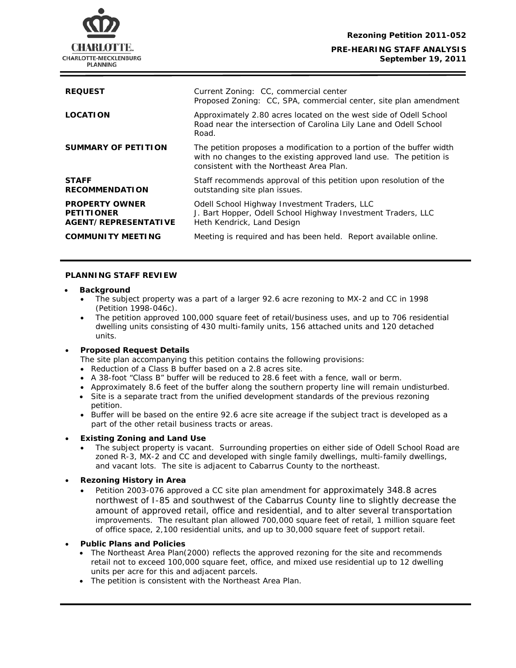

# **September 19, 2011**

| <b>REQUEST</b>                                                     | Current Zoning: CC, commercial center<br>Proposed Zoning: CC, SPA, commercial center, site plan amendment                                                                               |
|--------------------------------------------------------------------|-----------------------------------------------------------------------------------------------------------------------------------------------------------------------------------------|
| <b>LOCATION</b>                                                    | Approximately 2.80 acres located on the west side of Odell School<br>Road near the intersection of Carolina Lily Lane and Odell School<br>Road.                                         |
| <b>SUMMARY OF PETITION</b>                                         | The petition proposes a modification to a portion of the buffer width<br>with no changes to the existing approved land use. The petition is<br>consistent with the Northeast Area Plan. |
| <b>STAFF</b><br><b>RECOMMENDATION</b>                              | Staff recommends approval of this petition upon resolution of the<br>outstanding site plan issues.                                                                                      |
| <b>PROPERTY OWNER</b><br><b>PETITIONER</b><br>AGENT/REPRESENTATIVE | Odell School Highway Investment Traders, LLC<br>J. Bart Hopper, Odell School Highway Investment Traders, LLC<br>Heth Kendrick, Land Design                                              |
| <b>COMMUNITY MEETING</b>                                           | Meeting is required and has been held. Report available online.                                                                                                                         |
|                                                                    |                                                                                                                                                                                         |

# **PLANNING STAFF REVIEW**

#### • **Background**

- The subject property was a part of a larger 92.6 acre rezoning to MX-2 and CC in 1998 (Petition 1998-046c).
- The petition approved 100,000 square feet of retail/business uses, and up to 706 residential dwelling units consisting of 430 multi-family units, 156 attached units and 120 detached units.

# • **Proposed Request Details**

- The site plan accompanying this petition contains the following provisions:
- Reduction of a Class B buffer based on a 2.8 acres site.
- A 38-foot "Class B" buffer will be reduced to 28.6 feet with a fence, wall or berm.
- Approximately 8.6 feet of the buffer along the southern property line will remain undisturbed.
- Site is a separate tract from the unified development standards of the previous rezoning petition.
- part of the other retail business tracts or areas. • Buffer will be based on the entire 92.6 acre site acreage if the subject tract is developed as a

# • **Existing Zoning and Land Use**

• The subject property is vacant. Surrounding properties on either side of Odell School Road are zoned R-3, MX-2 and CC and developed with single family dwellings, multi-family dwellings, and vacant lots. The site is adjacent to Cabarrus County to the northeast.

# • **Rezoning History in Area**

• Petition 2003-076 approved a CC site plan amendment for approximately 348.8 acres northwest of I-85 and southwest of the Cabarrus County line to slightly decrease the amount of approved retail, office and residential, and to alter several transportation improvements. The resultant plan allowed 700,000 square feet of retail, 1 million square feet of office space, 2,100 residential units, and up to 30,000 square feet of support retail.

#### • **Public Plans and Policies**

- The *Northeast Area Plan*(2000) reflects the approved rezoning for the site and recommends retail not to exceed 100,000 square feet, office, and mixed use residential up to 12 dwelling units per acre for this and adjacent parcels.
- The petition is consistent with the *Northeast Area Plan*.